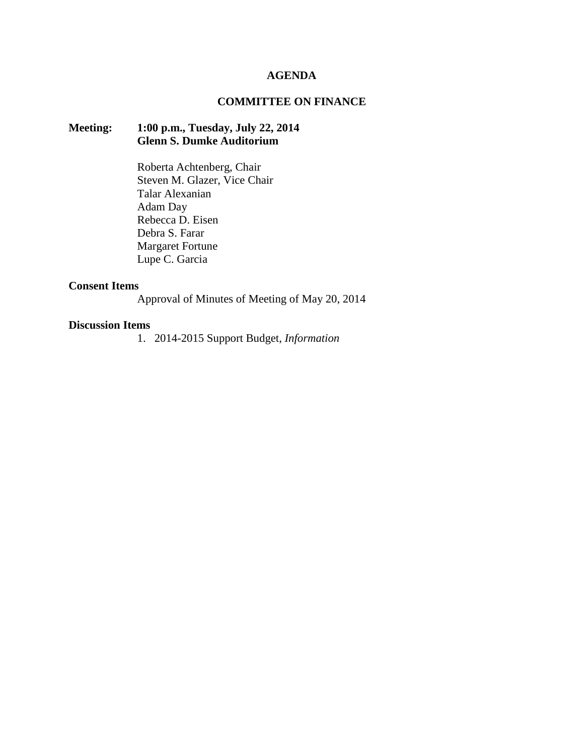### **AGENDA**

## **COMMITTEE ON FINANCE**

# **Meeting: 1:00 p.m., Tuesday, July 22, 2014 Glenn S. Dumke Auditorium**

Roberta Achtenberg, Chair Steven M. Glazer, Vice Chair Talar Alexanian Adam Day Rebecca D. Eisen Debra S. Farar Margaret Fortune Lupe C. Garcia

#### **Consent Items**

Approval of Minutes of Meeting of May 20, 2014

#### **Discussion Items**

1. 2014-2015 Support Budget, *Information*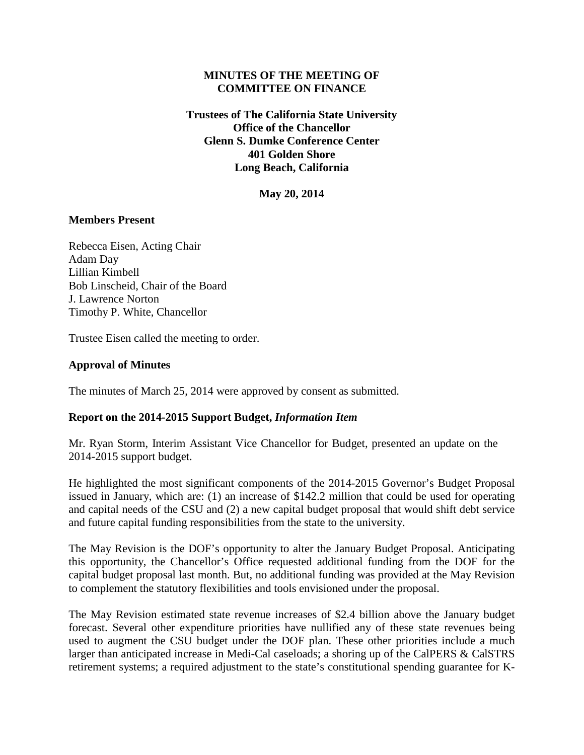## **MINUTES OF THE MEETING OF COMMITTEE ON FINANCE**

**Trustees of The California State University Office of the Chancellor Glenn S. Dumke Conference Center 401 Golden Shore Long Beach, California**

**May 20, 2014**

### **Members Present**

Rebecca Eisen, Acting Chair Adam Day Lillian Kimbell Bob Linscheid, Chair of the Board J. Lawrence Norton Timothy P. White, Chancellor

Trustee Eisen called the meeting to order.

## **Approval of Minutes**

The minutes of March 25, 2014 were approved by consent as submitted.

## **Report on the 2014-2015 Support Budget,** *Information Item*

Mr. Ryan Storm, Interim Assistant Vice Chancellor for Budget, presented an update on the 2014-2015 support budget.

He highlighted the most significant components of the 2014-2015 Governor's Budget Proposal issued in January, which are: (1) an increase of \$142.2 million that could be used for operating and capital needs of the CSU and (2) a new capital budget proposal that would shift debt service and future capital funding responsibilities from the state to the university.

The May Revision is the DOF's opportunity to alter the January Budget Proposal. Anticipating this opportunity, the Chancellor's Office requested additional funding from the DOF for the capital budget proposal last month. But, no additional funding was provided at the May Revision to complement the statutory flexibilities and tools envisioned under the proposal.

The May Revision estimated state revenue increases of \$2.4 billion above the January budget forecast. Several other expenditure priorities have nullified any of these state revenues being used to augment the CSU budget under the DOF plan. These other priorities include a much larger than anticipated increase in Medi-Cal caseloads; a shoring up of the CalPERS & CalSTRS retirement systems; a required adjustment to the state's constitutional spending guarantee for K-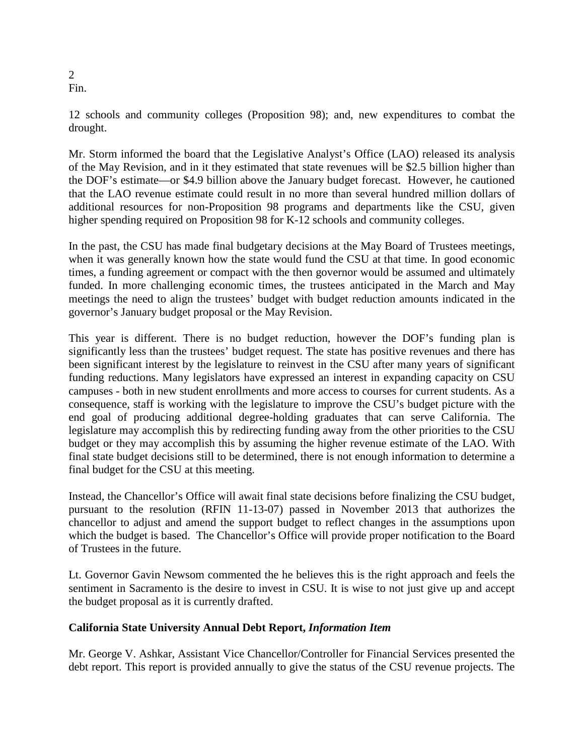2 Fin.

12 schools and community colleges (Proposition 98); and, new expenditures to combat the drought.

Mr. Storm informed the board that the Legislative Analyst's Office (LAO) released its analysis of the May Revision, and in it they estimated that state revenues will be \$2.5 billion higher than the DOF's estimate—or \$4.9 billion above the January budget forecast. However, he cautioned that the LAO revenue estimate could result in no more than several hundred million dollars of additional resources for non-Proposition 98 programs and departments like the CSU, given higher spending required on Proposition 98 for K-12 schools and community colleges.

In the past, the CSU has made final budgetary decisions at the May Board of Trustees meetings, when it was generally known how the state would fund the CSU at that time. In good economic times, a funding agreement or compact with the then governor would be assumed and ultimately funded. In more challenging economic times, the trustees anticipated in the March and May meetings the need to align the trustees' budget with budget reduction amounts indicated in the governor's January budget proposal or the May Revision.

This year is different. There is no budget reduction, however the DOF's funding plan is significantly less than the trustees' budget request. The state has positive revenues and there has been significant interest by the legislature to reinvest in the CSU after many years of significant funding reductions. Many legislators have expressed an interest in expanding capacity on CSU campuses - both in new student enrollments and more access to courses for current students. As a consequence, staff is working with the legislature to improve the CSU's budget picture with the end goal of producing additional degree-holding graduates that can serve California. The legislature may accomplish this by redirecting funding away from the other priorities to the CSU budget or they may accomplish this by assuming the higher revenue estimate of the LAO. With final state budget decisions still to be determined, there is not enough information to determine a final budget for the CSU at this meeting.

Instead, the Chancellor's Office will await final state decisions before finalizing the CSU budget, pursuant to the resolution (RFIN 11-13-07) passed in November 2013 that authorizes the chancellor to adjust and amend the support budget to reflect changes in the assumptions upon which the budget is based. The Chancellor's Office will provide proper notification to the Board of Trustees in the future.

Lt. Governor Gavin Newsom commented the he believes this is the right approach and feels the sentiment in Sacramento is the desire to invest in CSU. It is wise to not just give up and accept the budget proposal as it is currently drafted.

# **California State University Annual Debt Report,** *Information Item*

Mr. George V. Ashkar, Assistant Vice Chancellor/Controller for Financial Services presented the debt report. This report is provided annually to give the status of the CSU revenue projects. The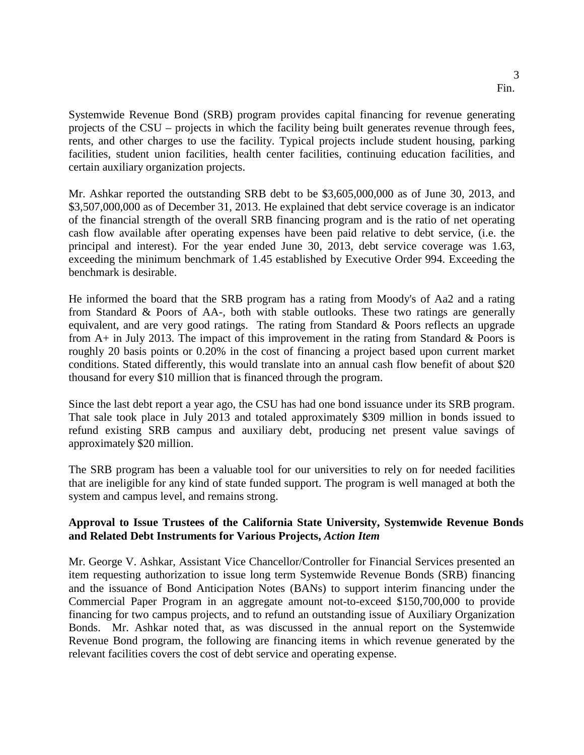Systemwide Revenue Bond (SRB) program provides capital financing for revenue generating projects of the CSU – projects in which the facility being built generates revenue through fees, rents, and other charges to use the facility. Typical projects include student housing, parking facilities, student union facilities, health center facilities, continuing education facilities, and certain auxiliary organization projects.

Mr. Ashkar reported the outstanding SRB debt to be \$3,605,000,000 as of June 30, 2013, and \$3,507,000,000 as of December 31, 2013. He explained that debt service coverage is an indicator of the financial strength of the overall SRB financing program and is the ratio of net operating cash flow available after operating expenses have been paid relative to debt service, (i.e. the principal and interest). For the year ended June 30, 2013, debt service coverage was 1.63, exceeding the minimum benchmark of 1.45 established by Executive Order 994. Exceeding the benchmark is desirable.

He informed the board that the SRB program has a rating from Moody's of Aa2 and a rating from Standard & Poors of AA-, both with stable outlooks. These two ratings are generally equivalent, and are very good ratings. The rating from Standard & Poors reflects an upgrade from  $A+$  in July 2013. The impact of this improvement in the rating from Standard & Poors is roughly 20 basis points or 0.20% in the cost of financing a project based upon current market conditions. Stated differently, this would translate into an annual cash flow benefit of about \$20 thousand for every \$10 million that is financed through the program.

Since the last debt report a year ago, the CSU has had one bond issuance under its SRB program. That sale took place in July 2013 and totaled approximately \$309 million in bonds issued to refund existing SRB campus and auxiliary debt, producing net present value savings of approximately \$20 million.

The SRB program has been a valuable tool for our universities to rely on for needed facilities that are ineligible for any kind of state funded support. The program is well managed at both the system and campus level, and remains strong.

# **Approval to Issue Trustees of the California State University, Systemwide Revenue Bonds and Related Debt Instruments for Various Projects,** *Action Item*

Mr. George V. Ashkar, Assistant Vice Chancellor/Controller for Financial Services presented an item requesting authorization to issue long term Systemwide Revenue Bonds (SRB) financing and the issuance of Bond Anticipation Notes (BANs) to support interim financing under the Commercial Paper Program in an aggregate amount not-to-exceed \$150,700,000 to provide financing for two campus projects, and to refund an outstanding issue of Auxiliary Organization Bonds. Mr. Ashkar noted that, as was discussed in the annual report on the Systemwide Revenue Bond program, the following are financing items in which revenue generated by the relevant facilities covers the cost of debt service and operating expense.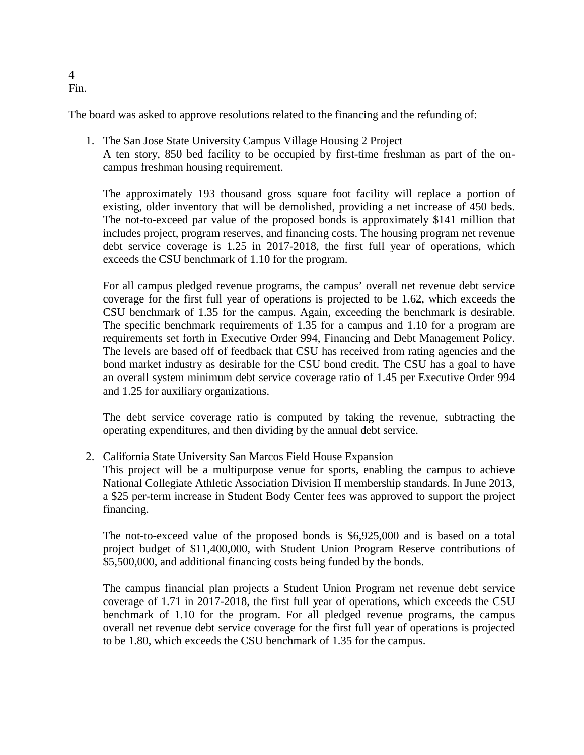#### 4 Fin.

The board was asked to approve resolutions related to the financing and the refunding of:

1. The San Jose State University Campus Village Housing 2 Project

A ten story, 850 bed facility to be occupied by first-time freshman as part of the oncampus freshman housing requirement.

The approximately 193 thousand gross square foot facility will replace a portion of existing, older inventory that will be demolished, providing a net increase of 450 beds. The not-to-exceed par value of the proposed bonds is approximately \$141 million that includes project, program reserves, and financing costs. The housing program net revenue debt service coverage is 1.25 in 2017-2018, the first full year of operations, which exceeds the CSU benchmark of 1.10 for the program.

For all campus pledged revenue programs, the campus' overall net revenue debt service coverage for the first full year of operations is projected to be 1.62, which exceeds the CSU benchmark of 1.35 for the campus. Again, exceeding the benchmark is desirable. The specific benchmark requirements of 1.35 for a campus and 1.10 for a program are requirements set forth in Executive Order 994, Financing and Debt Management Policy. The levels are based off of feedback that CSU has received from rating agencies and the bond market industry as desirable for the CSU bond credit. The CSU has a goal to have an overall system minimum debt service coverage ratio of 1.45 per Executive Order 994 and 1.25 for auxiliary organizations.

The debt service coverage ratio is computed by taking the revenue, subtracting the operating expenditures, and then dividing by the annual debt service.

2. California State University San Marcos Field House Expansion

This project will be a multipurpose venue for sports, enabling the campus to achieve National Collegiate Athletic Association Division II membership standards. In June 2013, a \$25 per-term increase in Student Body Center fees was approved to support the project financing.

The not-to-exceed value of the proposed bonds is \$6,925,000 and is based on a total project budget of \$11,400,000, with Student Union Program Reserve contributions of \$5,500,000, and additional financing costs being funded by the bonds.

The campus financial plan projects a Student Union Program net revenue debt service coverage of 1.71 in 2017-2018, the first full year of operations, which exceeds the CSU benchmark of 1.10 for the program. For all pledged revenue programs, the campus overall net revenue debt service coverage for the first full year of operations is projected to be 1.80, which exceeds the CSU benchmark of 1.35 for the campus.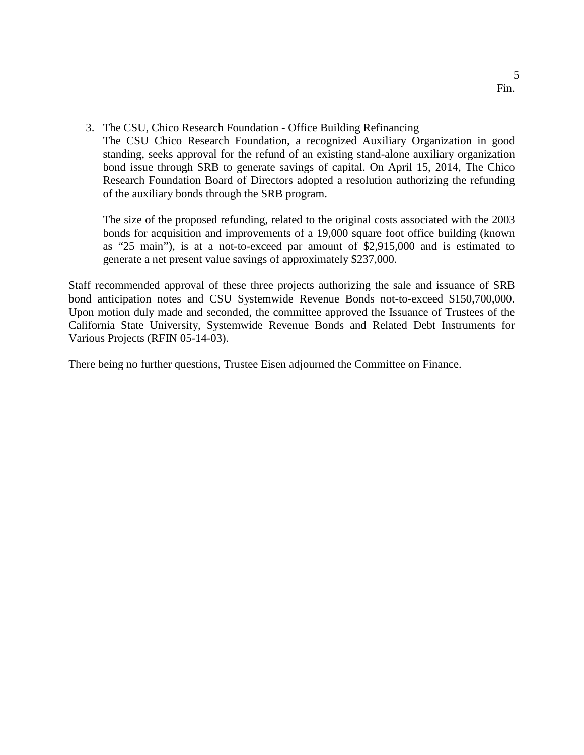3. The CSU, Chico Research Foundation - Office Building Refinancing

The CSU Chico Research Foundation, a recognized Auxiliary Organization in good standing, seeks approval for the refund of an existing stand-alone auxiliary organization bond issue through SRB to generate savings of capital. On April 15, 2014, The Chico Research Foundation Board of Directors adopted a resolution authorizing the refunding of the auxiliary bonds through the SRB program.

The size of the proposed refunding, related to the original costs associated with the 2003 bonds for acquisition and improvements of a 19,000 square foot office building (known as "25 main"), is at a not-to-exceed par amount of \$2,915,000 and is estimated to generate a net present value savings of approximately \$237,000.

Staff recommended approval of these three projects authorizing the sale and issuance of SRB bond anticipation notes and CSU Systemwide Revenue Bonds not-to-exceed \$150,700,000. Upon motion duly made and seconded, the committee approved the Issuance of Trustees of the California State University, Systemwide Revenue Bonds and Related Debt Instruments for Various Projects (RFIN 05-14-03).

There being no further questions, Trustee Eisen adjourned the Committee on Finance.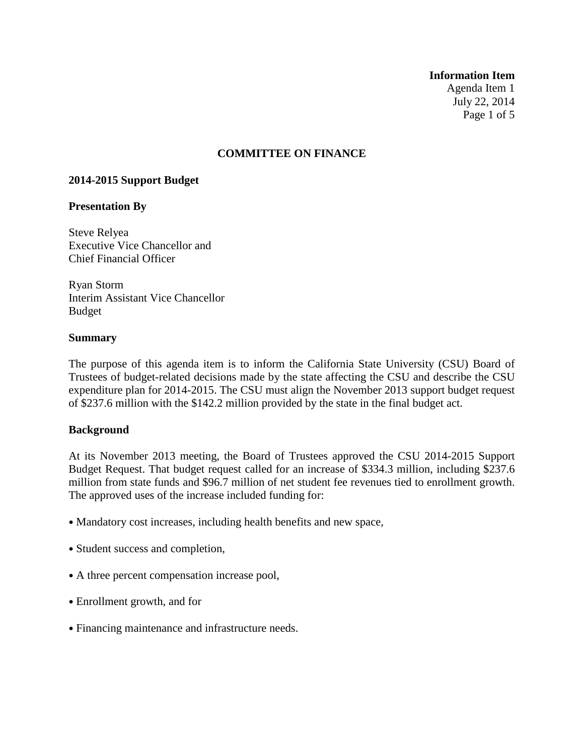**Information Item**

Agenda Item 1 July 22, 2014 Page 1 of 5

## **COMMITTEE ON FINANCE**

#### **2014-2015 Support Budget**

#### **Presentation By**

Steve Relyea Executive Vice Chancellor and Chief Financial Officer

Ryan Storm Interim Assistant Vice Chancellor Budget

### **Summary**

The purpose of this agenda item is to inform the California State University (CSU) Board of Trustees of budget-related decisions made by the state affecting the CSU and describe the CSU expenditure plan for 2014-2015. The CSU must align the November 2013 support budget request of \$237.6 million with the \$142.2 million provided by the state in the final budget act.

#### **Background**

At its November 2013 meeting, the Board of Trustees approved the CSU 2014-2015 Support Budget Request. That budget request called for an increase of \$334.3 million, including \$237.6 million from state funds and \$96.7 million of net student fee revenues tied to enrollment growth. The approved uses of the increase included funding for:

- Mandatory cost increases, including health benefits and new space,
- Student success and completion,
- A three percent compensation increase pool,
- Enrollment growth, and for
- Financing maintenance and infrastructure needs.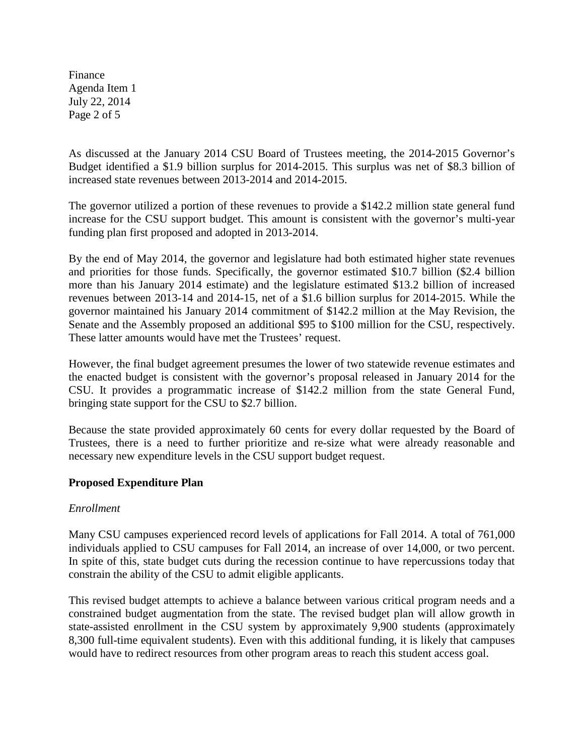Finance Agenda Item 1 July 22, 2014 Page 2 of 5

As discussed at the January 2014 CSU Board of Trustees meeting, the 2014-2015 Governor's Budget identified a \$1.9 billion surplus for 2014-2015. This surplus was net of \$8.3 billion of increased state revenues between 2013-2014 and 2014-2015.

The governor utilized a portion of these revenues to provide a \$142.2 million state general fund increase for the CSU support budget. This amount is consistent with the governor's multi-year funding plan first proposed and adopted in 2013-2014.

By the end of May 2014, the governor and legislature had both estimated higher state revenues and priorities for those funds. Specifically, the governor estimated \$10.7 billion (\$2.4 billion more than his January 2014 estimate) and the legislature estimated \$13.2 billion of increased revenues between 2013-14 and 2014-15, net of a \$1.6 billion surplus for 2014-2015. While the governor maintained his January 2014 commitment of \$142.2 million at the May Revision, the Senate and the Assembly proposed an additional \$95 to \$100 million for the CSU, respectively. These latter amounts would have met the Trustees' request.

However, the final budget agreement presumes the lower of two statewide revenue estimates and the enacted budget is consistent with the governor's proposal released in January 2014 for the CSU. It provides a programmatic increase of \$142.2 million from the state General Fund, bringing state support for the CSU to \$2.7 billion.

Because the state provided approximately 60 cents for every dollar requested by the Board of Trustees, there is a need to further prioritize and re-size what were already reasonable and necessary new expenditure levels in the CSU support budget request.

# **Proposed Expenditure Plan**

## *Enrollment*

Many CSU campuses experienced record levels of applications for Fall 2014. A total of 761,000 individuals applied to CSU campuses for Fall 2014, an increase of over 14,000, or two percent. In spite of this, state budget cuts during the recession continue to have repercussions today that constrain the ability of the CSU to admit eligible applicants.

This revised budget attempts to achieve a balance between various critical program needs and a constrained budget augmentation from the state. The revised budget plan will allow growth in state-assisted enrollment in the CSU system by approximately 9,900 students (approximately 8,300 full-time equivalent students). Even with this additional funding, it is likely that campuses would have to redirect resources from other program areas to reach this student access goal.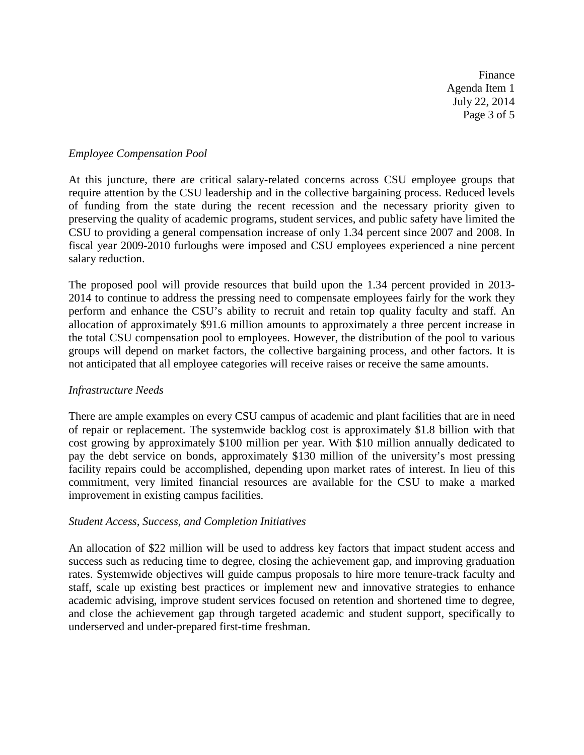Finance Agenda Item 1 July 22, 2014 Page 3 of 5

### *Employee Compensation Pool*

At this juncture, there are critical salary-related concerns across CSU employee groups that require attention by the CSU leadership and in the collective bargaining process. Reduced levels of funding from the state during the recent recession and the necessary priority given to preserving the quality of academic programs, student services, and public safety have limited the CSU to providing a general compensation increase of only 1.34 percent since 2007 and 2008. In fiscal year 2009-2010 furloughs were imposed and CSU employees experienced a nine percent salary reduction.

The proposed pool will provide resources that build upon the 1.34 percent provided in 2013- 2014 to continue to address the pressing need to compensate employees fairly for the work they perform and enhance the CSU's ability to recruit and retain top quality faculty and staff. An allocation of approximately \$91.6 million amounts to approximately a three percent increase in the total CSU compensation pool to employees. However, the distribution of the pool to various groups will depend on market factors, the collective bargaining process, and other factors. It is not anticipated that all employee categories will receive raises or receive the same amounts.

## *Infrastructure Needs*

There are ample examples on every CSU campus of academic and plant facilities that are in need of repair or replacement. The systemwide backlog cost is approximately \$1.8 billion with that cost growing by approximately \$100 million per year. With \$10 million annually dedicated to pay the debt service on bonds, approximately \$130 million of the university's most pressing facility repairs could be accomplished, depending upon market rates of interest. In lieu of this commitment, very limited financial resources are available for the CSU to make a marked improvement in existing campus facilities.

## *Student Access, Success, and Completion Initiatives*

An allocation of \$22 million will be used to address key factors that impact student access and success such as reducing time to degree, closing the achievement gap, and improving graduation rates. Systemwide objectives will guide campus proposals to hire more tenure-track faculty and staff, scale up existing best practices or implement new and innovative strategies to enhance academic advising, improve student services focused on retention and shortened time to degree, and close the achievement gap through targeted academic and student support, specifically to underserved and under-prepared first-time freshman.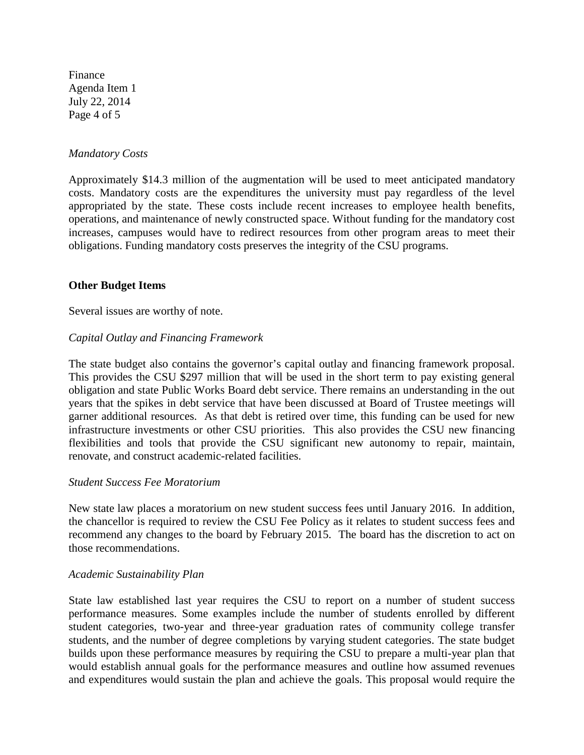Finance Agenda Item 1 July 22, 2014 Page 4 of 5

#### *Mandatory Costs*

Approximately \$14.3 million of the augmentation will be used to meet anticipated mandatory costs. Mandatory costs are the expenditures the university must pay regardless of the level appropriated by the state. These costs include recent increases to employee health benefits, operations, and maintenance of newly constructed space. Without funding for the mandatory cost increases, campuses would have to redirect resources from other program areas to meet their obligations. Funding mandatory costs preserves the integrity of the CSU programs.

### **Other Budget Items**

Several issues are worthy of note.

### *Capital Outlay and Financing Framework*

The state budget also contains the governor's capital outlay and financing framework proposal. This provides the CSU \$297 million that will be used in the short term to pay existing general obligation and state Public Works Board debt service. There remains an understanding in the out years that the spikes in debt service that have been discussed at Board of Trustee meetings will garner additional resources. As that debt is retired over time, this funding can be used for new infrastructure investments or other CSU priorities. This also provides the CSU new financing flexibilities and tools that provide the CSU significant new autonomy to repair, maintain, renovate, and construct academic-related facilities.

#### *Student Success Fee Moratorium*

New state law places a moratorium on new student success fees until January 2016. In addition, the chancellor is required to review the CSU Fee Policy as it relates to student success fees and recommend any changes to the board by February 2015. The board has the discretion to act on those recommendations.

#### *Academic Sustainability Plan*

State law established last year requires the CSU to report on a number of student success performance measures. Some examples include the number of students enrolled by different student categories, two-year and three-year graduation rates of community college transfer students, and the number of degree completions by varying student categories. The state budget builds upon these performance measures by requiring the CSU to prepare a multi-year plan that would establish annual goals for the performance measures and outline how assumed revenues and expenditures would sustain the plan and achieve the goals. This proposal would require the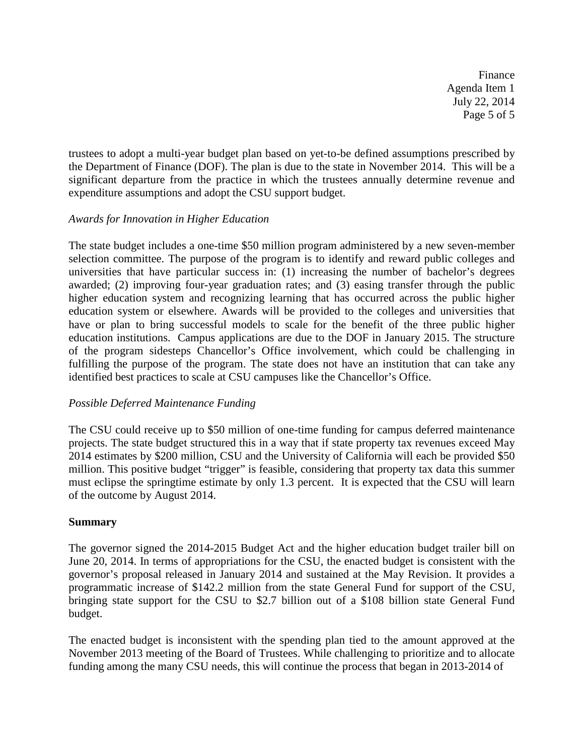Finance Agenda Item 1 July 22, 2014 Page 5 of 5

trustees to adopt a multi-year budget plan based on yet-to-be defined assumptions prescribed by the Department of Finance (DOF). The plan is due to the state in November 2014. This will be a significant departure from the practice in which the trustees annually determine revenue and expenditure assumptions and adopt the CSU support budget.

# *Awards for Innovation in Higher Education*

The state budget includes a one-time \$50 million program administered by a new seven-member selection committee. The purpose of the program is to identify and reward public colleges and universities that have particular success in: (1) increasing the number of bachelor's degrees awarded; (2) improving four-year graduation rates; and (3) easing transfer through the public higher education system and recognizing learning that has occurred across the public higher education system or elsewhere. Awards will be provided to the colleges and universities that have or plan to bring successful models to scale for the benefit of the three public higher education institutions. Campus applications are due to the DOF in January 2015. The structure of the program sidesteps Chancellor's Office involvement, which could be challenging in fulfilling the purpose of the program. The state does not have an institution that can take any identified best practices to scale at CSU campuses like the Chancellor's Office.

## *Possible Deferred Maintenance Funding*

The CSU could receive up to \$50 million of one-time funding for campus deferred maintenance projects. The state budget structured this in a way that if state property tax revenues exceed May 2014 estimates by \$200 million, CSU and the University of California will each be provided \$50 million. This positive budget "trigger" is feasible, considering that property tax data this summer must eclipse the springtime estimate by only 1.3 percent. It is expected that the CSU will learn of the outcome by August 2014.

# **Summary**

The governor signed the 2014-2015 Budget Act and the higher education budget trailer bill on June 20, 2014. In terms of appropriations for the CSU, the enacted budget is consistent with the governor's proposal released in January 2014 and sustained at the May Revision. It provides a programmatic increase of \$142.2 million from the state General Fund for support of the CSU, bringing state support for the CSU to \$2.7 billion out of a \$108 billion state General Fund budget.

The enacted budget is inconsistent with the spending plan tied to the amount approved at the November 2013 meeting of the Board of Trustees. While challenging to prioritize and to allocate funding among the many CSU needs, this will continue the process that began in 2013-2014 of